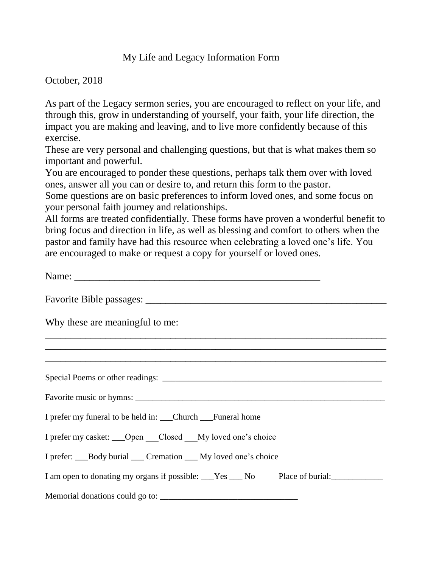## My Life and Legacy Information Form

October, 2018

As part of the Legacy sermon series, you are encouraged to reflect on your life, and through this, grow in understanding of yourself, your faith, your life direction, the impact you are making and leaving, and to live more confidently because of this exercise.

These are very personal and challenging questions, but that is what makes them so important and powerful.

You are encouraged to ponder these questions, perhaps talk them over with loved ones, answer all you can or desire to, and return this form to the pastor.

Some questions are on basic preferences to inform loved ones, and some focus on your personal faith journey and relationships.

All forms are treated confidentially. These forms have proven a wonderful benefit to bring focus and direction in life, as well as blessing and comfort to others when the pastor and family have had this resource when celebrating a loved one's life. You are encouraged to make or request a copy for yourself or loved ones.